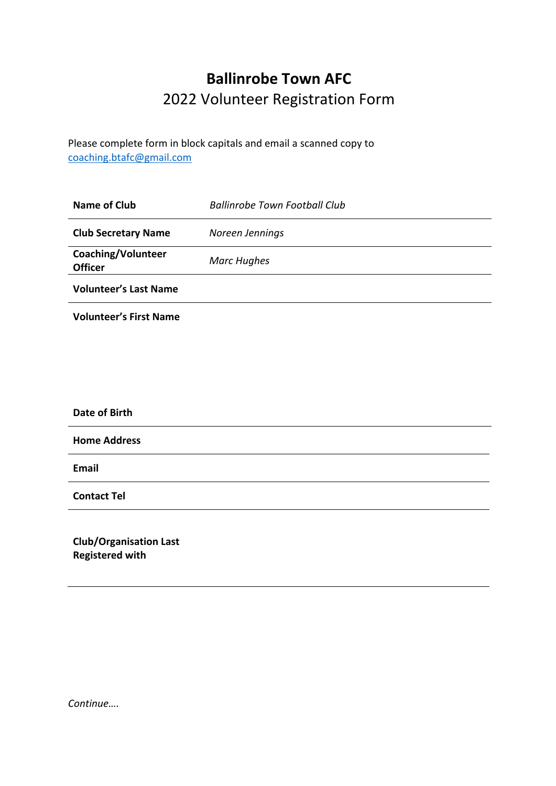# **Ballinrobe Town AFC** 2022 Volunteer Registration Form

Please complete form in block capitals and email a scanned copy to coaching.btafc@gmail.com

| <b>Name of Club</b>                                     | <b>Ballinrobe Town Football Club</b> |
|---------------------------------------------------------|--------------------------------------|
| <b>Club Secretary Name</b>                              | Noreen Jennings                      |
| Coaching/Volunteer<br><b>Officer</b>                    | <b>Marc Hughes</b>                   |
| <b>Volunteer's Last Name</b>                            |                                      |
| <b>Volunteer's First Name</b>                           |                                      |
|                                                         |                                      |
|                                                         |                                      |
|                                                         |                                      |
| <b>Date of Birth</b>                                    |                                      |
| <b>Home Address</b>                                     |                                      |
| <b>Email</b>                                            |                                      |
| <b>Contact Tel</b>                                      |                                      |
| <b>Club/Organisation Last</b><br><b>Registered with</b> |                                      |

*Continue….*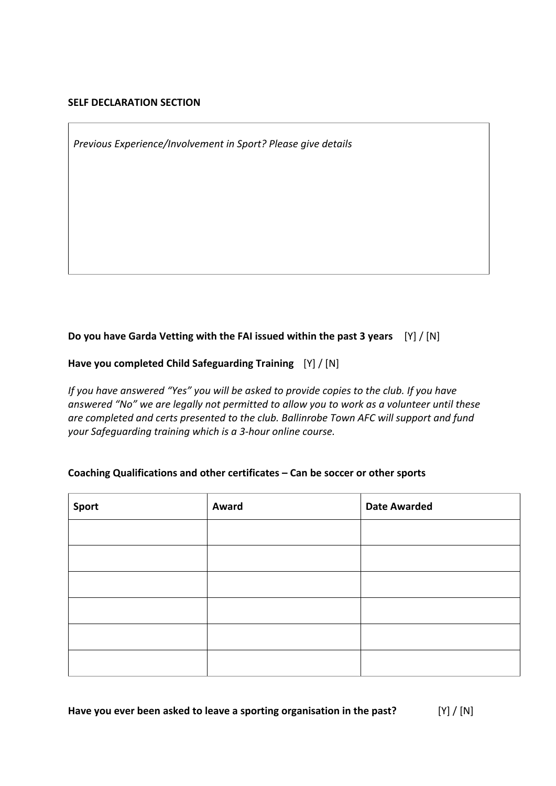#### **SELF DECLARATION SECTION**

*Previous Experience/Involvement in Sport? Please give details*

## **Do you have Garda Vetting with the FAI issued within the past 3 years** [Y] / [N]

**Have you completed Child Safeguarding Training** [Y] / [N]

*If you have answered "Yes" you will be asked to provide copies to the club. If you have answered "No" we are legally not permitted to allow you to work as a volunteer until these are completed and certs presented to the club. Ballinrobe Town AFC will support and fund your Safeguarding training which is a 3-hour online course.* 

#### **Coaching Qualifications and other certificates – Can be soccer or other sports**

| Sport | Award | <b>Date Awarded</b> |
|-------|-------|---------------------|
|       |       |                     |
|       |       |                     |
|       |       |                     |
|       |       |                     |
|       |       |                     |
|       |       |                     |

**Have you ever been asked to leave a sporting organisation in the past?** [Y] / [N]